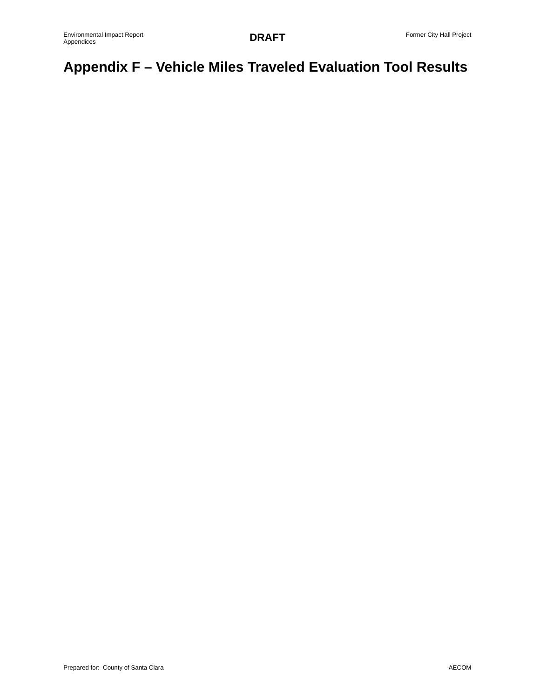# **Appendix F – Vehicle Miles Traveled Evaluation Tool Results**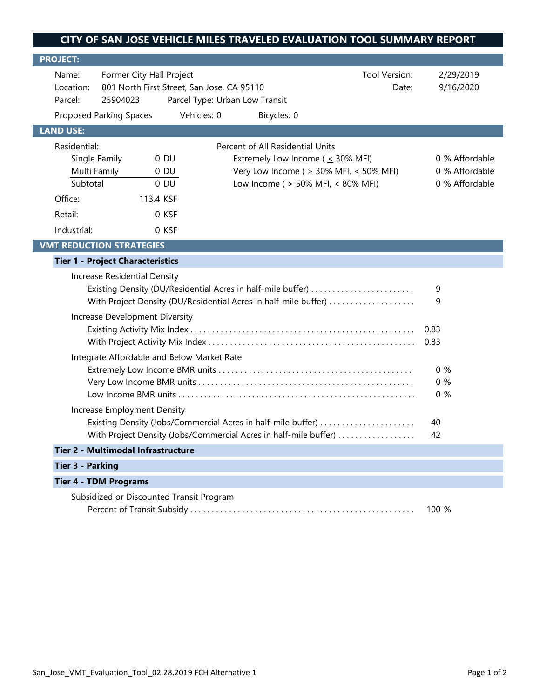| <b>PROJECT:</b>                                                                                        |                                                                                                                                                             |                            |                                                                                                                                                                             |  |                                                    |  |  |
|--------------------------------------------------------------------------------------------------------|-------------------------------------------------------------------------------------------------------------------------------------------------------------|----------------------------|-----------------------------------------------------------------------------------------------------------------------------------------------------------------------------|--|----------------------------------------------------|--|--|
| Name:<br>Parcel:                                                                                       | Former City Hall Project<br>Tool Version:<br>801 North First Street, San Jose, CA 95110<br>Location:<br>Date:<br>25904023<br>Parcel Type: Urban Low Transit |                            |                                                                                                                                                                             |  | 2/29/2019<br>9/16/2020                             |  |  |
|                                                                                                        | Proposed Parking Spaces                                                                                                                                     | Vehicles: 0                | Bicycles: 0                                                                                                                                                                 |  |                                                    |  |  |
| <b>LAND USE:</b>                                                                                       |                                                                                                                                                             |                            |                                                                                                                                                                             |  |                                                    |  |  |
| Residential:<br>Subtotal                                                                               | Single Family<br>Multi Family                                                                                                                               | $0$ DU<br>$0$ DU<br>$0$ DU | Percent of All Residential Units<br>Extremely Low Income ( $\leq$ 30% MFI)<br>Very Low Income ( $>$ 30% MFI, $\leq$ 50% MFI)<br>Low Income ( $> 50\%$ MFI, $\leq 80\%$ MFI) |  | 0 % Affordable<br>0 % Affordable<br>0 % Affordable |  |  |
| Office:                                                                                                | 113.4 KSF                                                                                                                                                   |                            |                                                                                                                                                                             |  |                                                    |  |  |
| Retail:                                                                                                |                                                                                                                                                             | 0 KSF                      |                                                                                                                                                                             |  |                                                    |  |  |
| Industrial:                                                                                            |                                                                                                                                                             | 0 KSF                      |                                                                                                                                                                             |  |                                                    |  |  |
|                                                                                                        | <b>VMT REDUCTION STRATEGIES</b>                                                                                                                             |                            |                                                                                                                                                                             |  |                                                    |  |  |
|                                                                                                        | <b>Tier 1 - Project Characteristics</b>                                                                                                                     |                            |                                                                                                                                                                             |  |                                                    |  |  |
| Increase Residential Density                                                                           |                                                                                                                                                             |                            |                                                                                                                                                                             |  |                                                    |  |  |
| Existing Density (DU/Residential Acres in half-mile buffer)                                            |                                                                                                                                                             |                            |                                                                                                                                                                             |  | 9<br>9                                             |  |  |
|                                                                                                        | With Project Density (DU/Residential Acres in half-mile buffer)                                                                                             |                            |                                                                                                                                                                             |  |                                                    |  |  |
| Increase Development Diversity                                                                         |                                                                                                                                                             |                            |                                                                                                                                                                             |  | 0.83                                               |  |  |
|                                                                                                        |                                                                                                                                                             |                            |                                                                                                                                                                             |  | 0.83                                               |  |  |
|                                                                                                        | Integrate Affordable and Below Market Rate                                                                                                                  |                            |                                                                                                                                                                             |  |                                                    |  |  |
|                                                                                                        |                                                                                                                                                             |                            |                                                                                                                                                                             |  | 0%                                                 |  |  |
|                                                                                                        |                                                                                                                                                             |                            |                                                                                                                                                                             |  |                                                    |  |  |
|                                                                                                        |                                                                                                                                                             |                            |                                                                                                                                                                             |  | 0%                                                 |  |  |
| Increase Employment Density                                                                            |                                                                                                                                                             |                            |                                                                                                                                                                             |  |                                                    |  |  |
| Existing Density (Jobs/Commercial Acres in half-mile buffer)                                           |                                                                                                                                                             |                            |                                                                                                                                                                             |  | 40<br>42                                           |  |  |
| With Project Density (Jobs/Commercial Acres in half-mile buffer)<br>Tier 2 - Multimodal Infrastructure |                                                                                                                                                             |                            |                                                                                                                                                                             |  |                                                    |  |  |
|                                                                                                        |                                                                                                                                                             |                            |                                                                                                                                                                             |  |                                                    |  |  |
| <b>Tier 3 - Parking</b>                                                                                |                                                                                                                                                             |                            |                                                                                                                                                                             |  |                                                    |  |  |
| <b>Tier 4 - TDM Programs</b><br>Subsidized or Discounted Transit Program                               |                                                                                                                                                             |                            |                                                                                                                                                                             |  |                                                    |  |  |
|                                                                                                        | 100 %                                                                                                                                                       |                            |                                                                                                                                                                             |  |                                                    |  |  |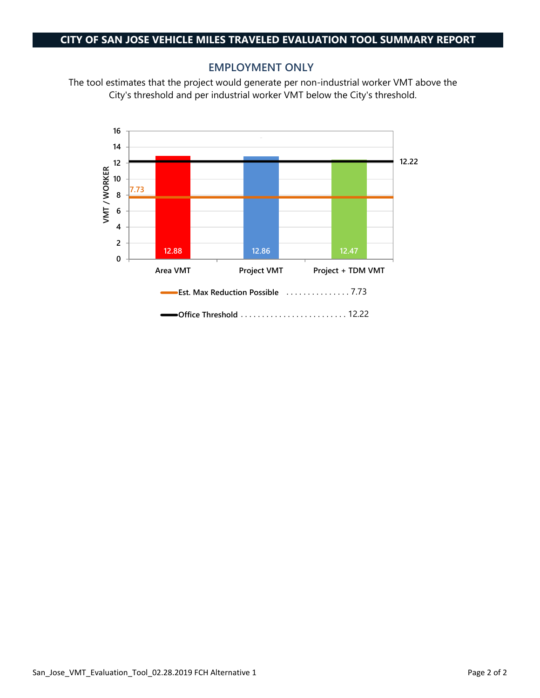#### **EMPLOYMENT ONLY**

The tool estimates that the project would generate per non-industrial worker VMT above the City's threshold and per industrial worker VMT below the City's threshold.

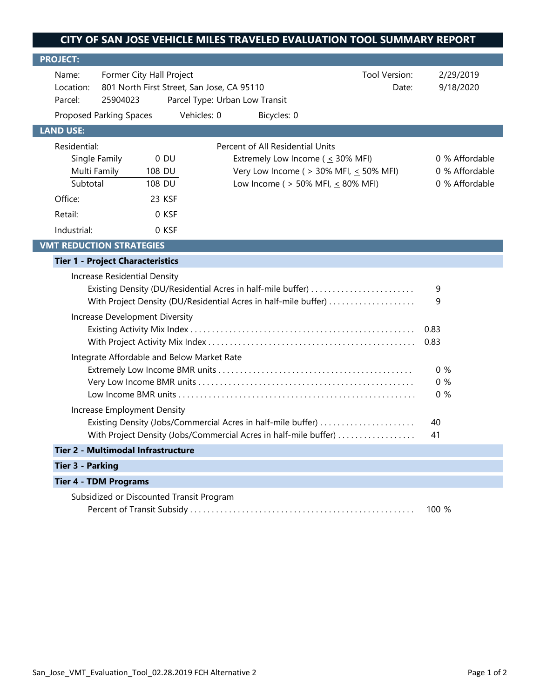| <b>PROJECT:</b>                                                                                                                                                                                  |                                                                                                                                                |                                              |                                                                                                                                                                             |  |                                                    |
|--------------------------------------------------------------------------------------------------------------------------------------------------------------------------------------------------|------------------------------------------------------------------------------------------------------------------------------------------------|----------------------------------------------|-----------------------------------------------------------------------------------------------------------------------------------------------------------------------------|--|----------------------------------------------------|
| Name:<br>Location:<br>Parcel:                                                                                                                                                                    | Former City Hall Project<br>Tool Version:<br>801 North First Street, San Jose, CA 95110<br>Date:<br>25904023<br>Parcel Type: Urban Low Transit |                                              |                                                                                                                                                                             |  | 2/29/2019<br>9/18/2020                             |
|                                                                                                                                                                                                  | <b>Proposed Parking Spaces</b>                                                                                                                 | Vehicles: 0                                  | Bicycles: 0                                                                                                                                                                 |  |                                                    |
| <b>LAND USE:</b>                                                                                                                                                                                 |                                                                                                                                                |                                              |                                                                                                                                                                             |  |                                                    |
| Residential:<br>Subtotal<br>Office:<br>Retail:<br>Industrial:                                                                                                                                    | Single Family<br>Multi Family<br>108 DU                                                                                                        | $0$ DU<br>108 DU<br>23 KSF<br>0 KSF<br>0 KSF | Percent of All Residential Units<br>Extremely Low Income ( $\leq$ 30% MFI)<br>Very Low Income ( $>$ 30% MFI, $\leq$ 50% MFI)<br>Low Income ( $> 50\%$ MFI, $\leq 80\%$ MFI) |  | 0 % Affordable<br>0 % Affordable<br>0 % Affordable |
|                                                                                                                                                                                                  | <b>VMT REDUCTION STRATEGIES</b>                                                                                                                |                                              |                                                                                                                                                                             |  |                                                    |
|                                                                                                                                                                                                  | <b>Tier 1 - Project Characteristics</b>                                                                                                        |                                              |                                                                                                                                                                             |  |                                                    |
| Increase Residential Density<br>Existing Density (DU/Residential Acres in half-mile buffer)<br>With Project Density (DU/Residential Acres in half-mile buffer)<br>Increase Development Diversity |                                                                                                                                                |                                              |                                                                                                                                                                             |  | 9<br>9                                             |
|                                                                                                                                                                                                  |                                                                                                                                                |                                              |                                                                                                                                                                             |  | 0.83<br>0.83                                       |
|                                                                                                                                                                                                  |                                                                                                                                                |                                              |                                                                                                                                                                             |  |                                                    |
| Integrate Affordable and Below Market Rate<br>Increase Employment Density                                                                                                                        |                                                                                                                                                |                                              |                                                                                                                                                                             |  | 0%<br>0%<br>0%                                     |
|                                                                                                                                                                                                  |                                                                                                                                                |                                              | Existing Density (Jobs/Commercial Acres in half-mile buffer)                                                                                                                |  | 40                                                 |
| With Project Density (Jobs/Commercial Acres in half-mile buffer)                                                                                                                                 |                                                                                                                                                |                                              |                                                                                                                                                                             |  | 41                                                 |
|                                                                                                                                                                                                  | Tier 2 - Multimodal Infrastructure                                                                                                             |                                              |                                                                                                                                                                             |  |                                                    |
| <b>Tier 3 - Parking</b>                                                                                                                                                                          |                                                                                                                                                |                                              |                                                                                                                                                                             |  |                                                    |
|                                                                                                                                                                                                  | <b>Tier 4 - TDM Programs</b>                                                                                                                   |                                              |                                                                                                                                                                             |  |                                                    |
| Subsidized or Discounted Transit Program                                                                                                                                                         |                                                                                                                                                |                                              |                                                                                                                                                                             |  | 100 %                                              |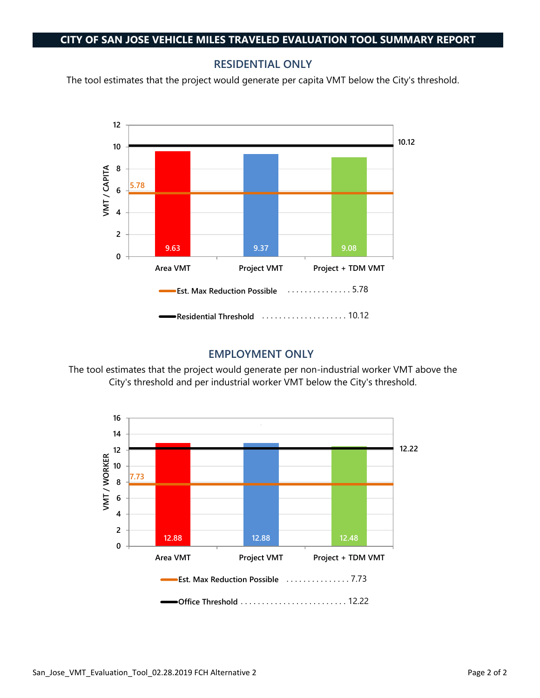### **RESIDENTIAL ONLY**

The tool estimates that the project would generate per capita VMT below the City's threshold.



## **EMPLOYMENT ONLY**

The tool estimates that the project would generate per non-industrial worker VMT above the City's threshold and per industrial worker VMT below the City's threshold.

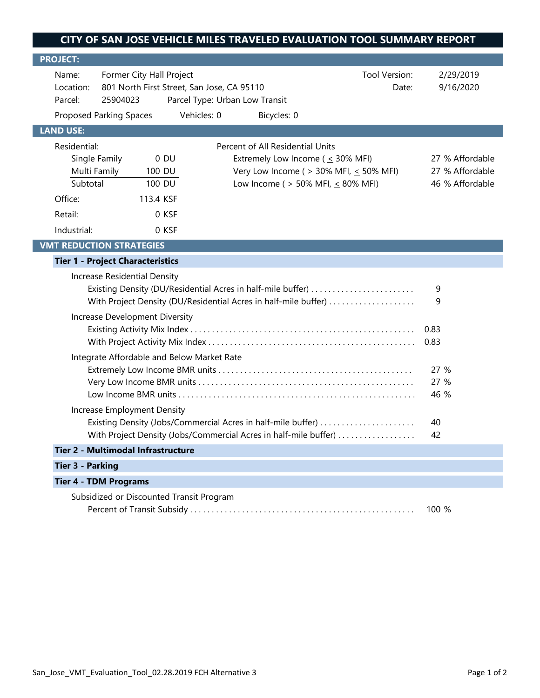| <b>PROJECT:</b>                                                                                                                                                                                  |                                                                                                                                                |                                                                        |             |                                                                                                                                                                             |                        |                                                       |  |
|--------------------------------------------------------------------------------------------------------------------------------------------------------------------------------------------------|------------------------------------------------------------------------------------------------------------------------------------------------|------------------------------------------------------------------------|-------------|-----------------------------------------------------------------------------------------------------------------------------------------------------------------------------|------------------------|-------------------------------------------------------|--|
| Name:<br>Location:<br>Parcel:                                                                                                                                                                    | Former City Hall Project<br>Tool Version:<br>801 North First Street, San Jose, CA 95110<br>Date:<br>25904023<br>Parcel Type: Urban Low Transit |                                                                        |             |                                                                                                                                                                             | 2/29/2019<br>9/16/2020 |                                                       |  |
|                                                                                                                                                                                                  | <b>Proposed Parking Spaces</b>                                                                                                                 |                                                                        | Vehicles: 0 | Bicycles: 0                                                                                                                                                                 |                        |                                                       |  |
| <b>LAND USE:</b>                                                                                                                                                                                 |                                                                                                                                                |                                                                        |             |                                                                                                                                                                             |                        |                                                       |  |
| Residential:<br>Subtotal<br>Office:<br>Retail:<br>Industrial:                                                                                                                                    | Single Family<br>Multi Family                                                                                                                  | $0$ DU<br>100 DU<br>$\overline{1}00$ DU<br>113.4 KSF<br>0 KSF<br>0 KSF |             | Percent of All Residential Units<br>Extremely Low Income ( $\leq$ 30% MFI)<br>Very Low Income ( $>$ 30% MFI, $\leq$ 50% MFI)<br>Low Income ( $> 50\%$ MFI, $\leq 80\%$ MFI) |                        | 27 % Affordable<br>27 % Affordable<br>46 % Affordable |  |
|                                                                                                                                                                                                  | <b>VMT REDUCTION STRATEGIES</b>                                                                                                                |                                                                        |             |                                                                                                                                                                             |                        |                                                       |  |
|                                                                                                                                                                                                  | <b>Tier 1 - Project Characteristics</b>                                                                                                        |                                                                        |             |                                                                                                                                                                             |                        |                                                       |  |
| Increase Residential Density<br>Existing Density (DU/Residential Acres in half-mile buffer)<br>With Project Density (DU/Residential Acres in half-mile buffer)<br>Increase Development Diversity |                                                                                                                                                |                                                                        |             |                                                                                                                                                                             | 9<br>9                 |                                                       |  |
|                                                                                                                                                                                                  |                                                                                                                                                |                                                                        |             |                                                                                                                                                                             | 0.83                   |                                                       |  |
|                                                                                                                                                                                                  |                                                                                                                                                |                                                                        |             |                                                                                                                                                                             | 0.83                   |                                                       |  |
| Integrate Affordable and Below Market Rate<br>Increase Employment Density                                                                                                                        |                                                                                                                                                |                                                                        |             |                                                                                                                                                                             | 27 %<br>27 %<br>46 %   |                                                       |  |
|                                                                                                                                                                                                  | Existing Density (Jobs/Commercial Acres in half-mile buffer)                                                                                   |                                                                        |             |                                                                                                                                                                             |                        | 40                                                    |  |
| With Project Density (Jobs/Commercial Acres in half-mile buffer)                                                                                                                                 |                                                                                                                                                |                                                                        |             |                                                                                                                                                                             | 42                     |                                                       |  |
|                                                                                                                                                                                                  | Tier 2 - Multimodal Infrastructure                                                                                                             |                                                                        |             |                                                                                                                                                                             |                        |                                                       |  |
| <b>Tier 3 - Parking</b>                                                                                                                                                                          |                                                                                                                                                |                                                                        |             |                                                                                                                                                                             |                        |                                                       |  |
|                                                                                                                                                                                                  | <b>Tier 4 - TDM Programs</b>                                                                                                                   |                                                                        |             |                                                                                                                                                                             |                        |                                                       |  |
| Subsidized or Discounted Transit Program                                                                                                                                                         |                                                                                                                                                |                                                                        |             |                                                                                                                                                                             | 100 %                  |                                                       |  |